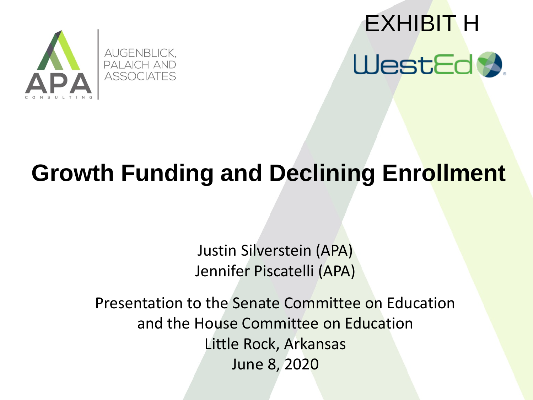

# EXHIBIT HWestEd **X**

#### **Growth Funding and Declining Enrollment**

Justin Silverstein (APA) Jennifer Piscatelli (APA)

Presentation to the Senate Committee on Education and the House Committee on Education Little Rock, Arkansas June 8, 2020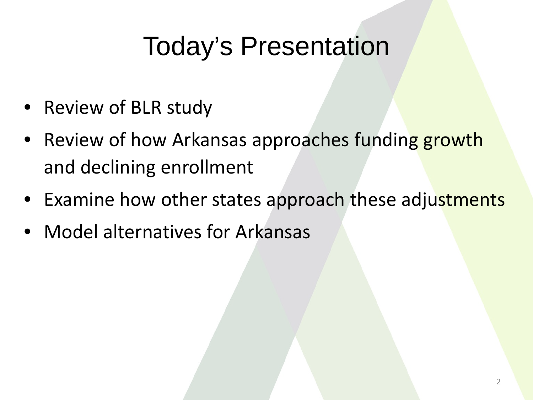## Today's Presentation

- Review of BLR study
- Review of how Arkansas approaches funding growth and declining enrollment
- Examine how other states approach these adjustments
- Model alternatives for Arkansas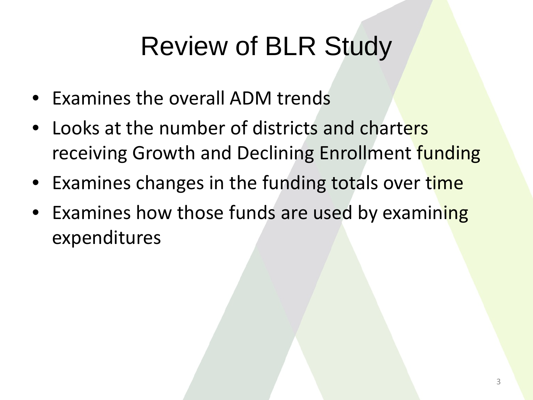## Review of BLR Study

- Examines the overall ADM trends
- Looks at the number of districts and charters receiving Growth and Declining Enrollment funding
- Examines changes in the funding totals over time
- Examines how those funds are used by examining expenditures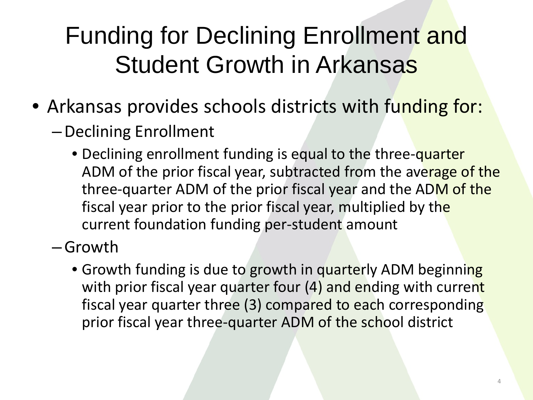### Funding for Declining Enrollment and Student Growth in Arkansas

- Arkansas provides schools districts with funding for:
	- –Declining Enrollment
		- Declining enrollment funding is equal to the three-quarter ADM of the prior fiscal year, subtracted from the average of the three-quarter ADM of the prior fiscal year and the ADM of the fiscal year prior to the prior fiscal year, multiplied by the current foundation funding per-student amount

–Growth

• Growth funding is due to growth in quarterly ADM beginning with prior fiscal year quarter four (4) and ending with current fiscal year quarter three (3) compared to each corresponding prior fiscal year three-quarter ADM of the school district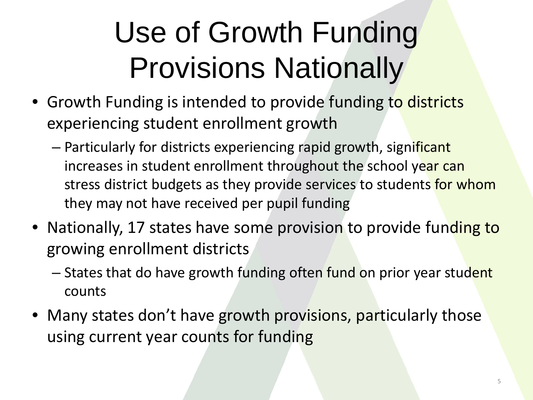# Use of Growth Funding Provisions Nationally

- Growth Funding is intended to provide funding to districts experiencing student enrollment growth
	- Particularly for districts experiencing rapid growth, significant increases in student enrollment throughout the school year can stress district budgets as they provide services to students for whom they may not have received per pupil funding
- Nationally, 17 states have some provision to provide funding to growing enrollment districts
	- States that do have growth funding often fund on prior year student counts
- Many states don't have growth provisions, particularly those using current year counts for funding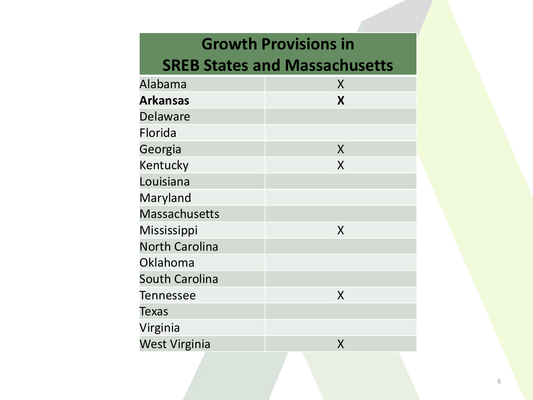#### **Growth Provisions in**

#### **SREB States and Massachusetts**

| Alabama               | X |
|-----------------------|---|
| <b>Arkansas</b>       | X |
| <b>Delaware</b>       |   |
| Florida               |   |
| Georgia               | X |
| Kentucky              | X |
| Louisiana             |   |
| Maryland              |   |
| <b>Massachusetts</b>  |   |
| Mississippi           | X |
| <b>North Carolina</b> |   |
| Oklahoma              |   |
| <b>South Carolina</b> |   |
| <b>Tennessee</b>      | X |
| Texas                 |   |
| Virginia              |   |
| <b>West Virginia</b>  | X |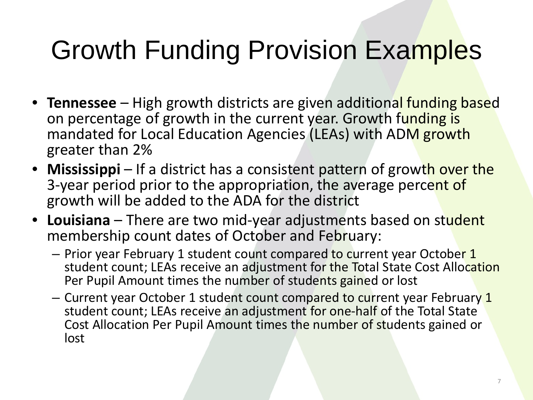## Growth Funding Provision Examples

- **Tennessee** High growth districts are given additional funding based on percentage of growth in the current year. Growth funding is mandated for Local Education Agencies (LEAs) with ADM growth greater than 2%
- **Mississippi** If a district has a consistent pattern of growth over the 3-year period prior to the appropriation, the average percent of growth will be added to the ADA for the district
- **Louisiana** There are two mid-year adjustments based on student membership count dates of October and February:
	- Prior year February 1 student count compared to current year October 1 student count; LEAs receive an adjustment for the Total State Cost Allocation Per Pupil Amount times the number of students gained or lost
	- Current year October 1 student count compared to current year February 1 student count; LEAs receive an adjustment for one-half of the Total State Cost Allocation Per Pupil Amount times the number of students gained or lost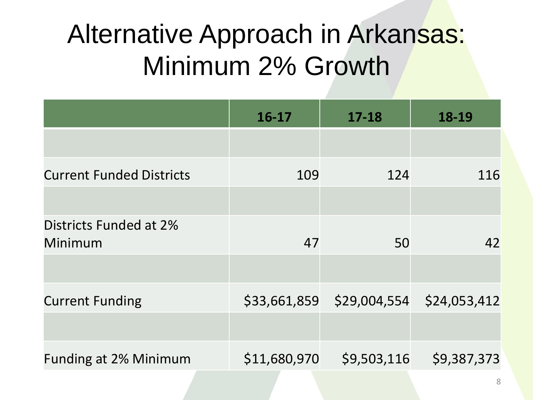## Alternative Approach in Arkansas: Minimum 2% Growth

|                                   | $16-17$      | $17 - 18$                              | 18-19       |
|-----------------------------------|--------------|----------------------------------------|-------------|
|                                   |              |                                        |             |
| <b>Current Funded Districts</b>   | 109          | 124                                    | 116         |
|                                   |              |                                        |             |
| Districts Funded at 2%<br>Minimum | 47           | 50                                     | 42          |
|                                   |              |                                        |             |
| <b>Current Funding</b>            |              | \$33,661,859 \$29,004,554 \$24,053,412 |             |
|                                   |              |                                        |             |
| <b>Funding at 2% Minimum</b>      | \$11,680,970 | \$9,503,116                            | \$9,387,373 |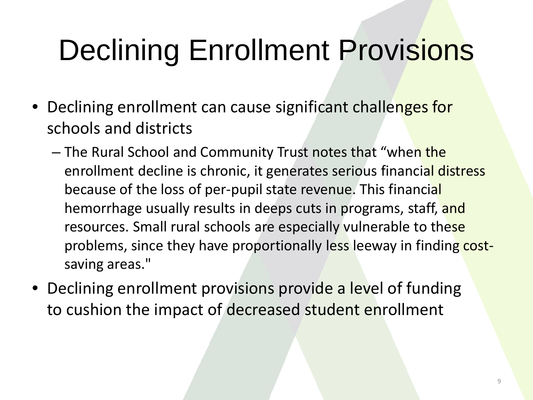# Declining Enrollment Provisions

- Declining enrollment can cause significant challenges for schools and districts
	- The Rural School and Community Trust notes that "when the enrollment decline is chronic, it generates serious financial distress because of the loss of per-pupil state revenue. This financial hemorrhage usually results in deeps cuts in programs, staff, and resources. Small rural schools are especially vulnerable to these problems, since they have proportionally less leeway in finding costsaving areas."
- Declining enrollment provisions provide a level of funding to cushion the impact of decreased student enrollment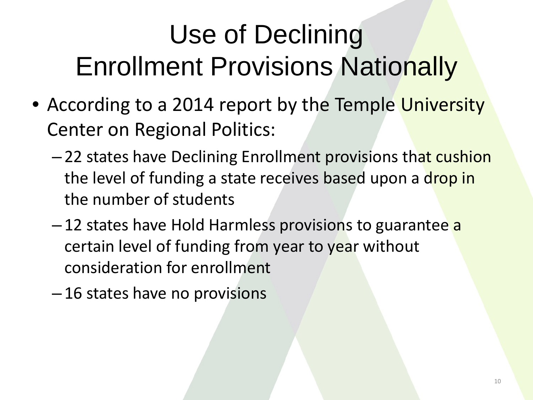## Use of Declining **Enrollment Provisions Nationally**

- According to a 2014 report by the Temple University Center on Regional Politics:
	- 22 states have Declining Enrollment provisions that cushion the level of funding a state receives based upon a drop in the number of students
	- 12 states have Hold Harmless provisions to guarantee a certain level of funding from year to year without consideration for enrollment
	- 16 states have no provisions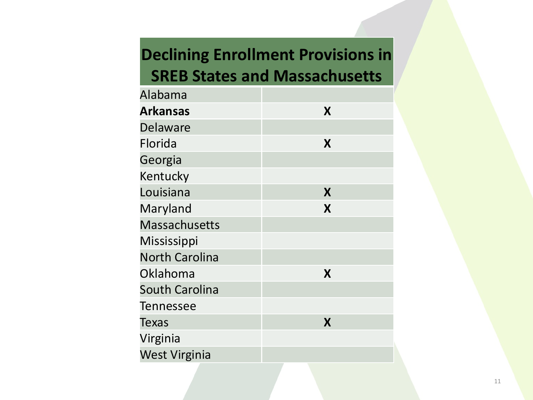#### **Declining Enrollment Provisions in SREB States and Massachusetts**

| Alabama               |   |
|-----------------------|---|
| <b>Arkansas</b>       | X |
| <b>Delaware</b>       |   |
| Florida               | X |
| Georgia               |   |
| Kentucky              |   |
| Louisiana             | X |
| Maryland              | X |
| <b>Massachusetts</b>  |   |
| Mississippi           |   |
| <b>North Carolina</b> |   |
| Oklahoma              | X |
| <b>South Carolina</b> |   |
| Tennessee             |   |
| Texas                 | X |
| Virginia              |   |
| <b>West Virginia</b>  |   |
|                       |   |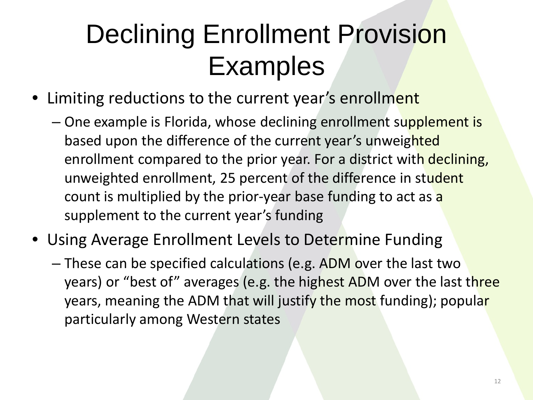## Declining Enrollment Provision Examples

- Limiting reductions to the current year's enrollment
	- One example is Florida, whose declining enrollment supplement is based upon the difference of the current year's unweighted enrollment compared to the prior year. For a district with declining, unweighted enrollment, 25 percent of the difference in student count is multiplied by the prior-year base funding to act as a supplement to the current year's funding
- Using Average Enrollment Levels to Determine Funding
	- These can be specified calculations (e.g. ADM over the last two years) or "best of" averages (e.g. the highest ADM over the last three years, meaning the ADM that will justify the most funding); popular particularly among Western states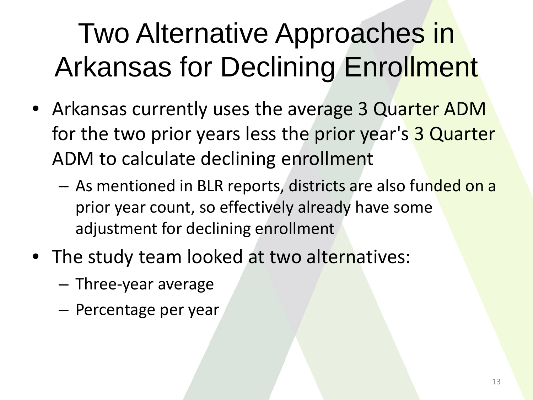## Two Alternative Approaches in Arkansas for Declining Enrollment

- Arkansas currently uses the average 3 Quarter ADM for the two prior years less the prior year's 3 Quarter ADM to calculate declining enrollment
	- As mentioned in BLR reports, districts are also funded on a prior year count, so effectively already have some adjustment for declining enrollment
- The study team looked at two alternatives:
	- Three-year average
	- Percentage per year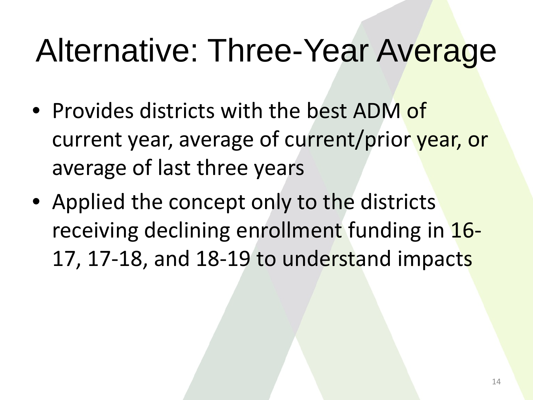# Alternative: Three-Year Average

- Provides districts with the best ADM of current year, average of current/prior year, or average of last three years
- Applied the concept only to the districts receiving declining enrollment funding in 16- 17, 17-18, and 18-19 to understand impacts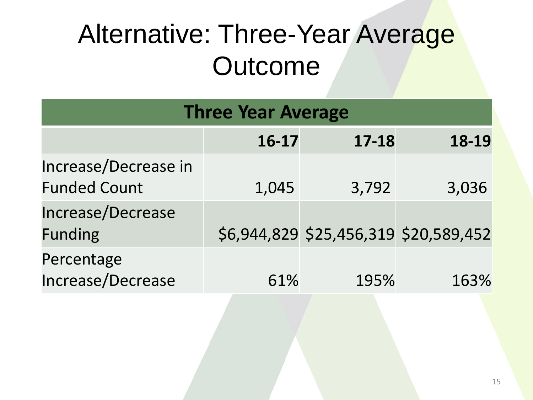## Alternative: Three-Year Average **Outcome**

| <b>Three Year Average</b>                   |           |                                       |       |  |  |
|---------------------------------------------|-----------|---------------------------------------|-------|--|--|
|                                             | $16 - 17$ | $17 - 18$                             | 18-19 |  |  |
| Increase/Decrease in<br><b>Funded Count</b> | 1,045     | 3,792                                 | 3,036 |  |  |
| Increase/Decrease<br><b>Funding</b>         |           | \$6,944,829 \$25,456,319 \$20,589,452 |       |  |  |
| Percentage<br>Increase/Decrease             | 61%       | 195%                                  | 163%  |  |  |
|                                             |           |                                       |       |  |  |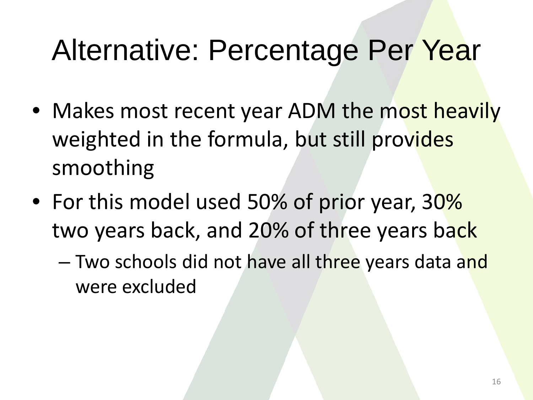## Alternative: Percentage Per Year

- Makes most recent year ADM the most heavily weighted in the formula, but still provides smoothing
- For this model used 50% of prior year, 30% two years back, and 20% of three years back
	- Two schools did not have all three years data and were excluded